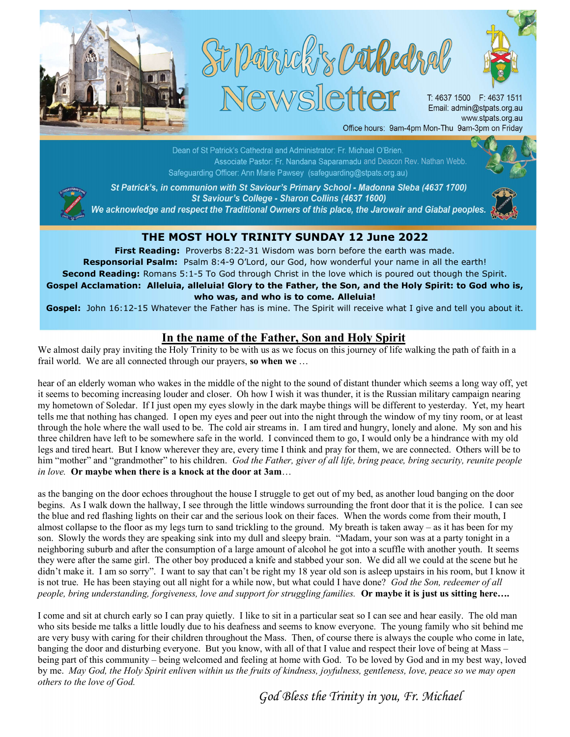





T: 4637 1500 F: 4637 1511 Email: admin@stpats.org.au www.stpats.org.au Office hours: 9am-4pm Mon-Thu 9am-3pm on Friday

and Deacon: Rev. Nathan Webb.<br>and Deacon: Rev. Nathan Webb. Safeguarding Officer: Ann Marie Pawsey (safeguarding@stpats.org.au)



St Patrick's, in communion with St Saviour's Primary School - Madonna Sleba (4637 1700) St Saviour's College - Sharon Collins (4637 1600)

We acknowledge and respect the Traditional Owners of this place, the Jarowair and Giabal peoples.



## THE MOST HOLY TRINITY SUNDAY 12 June 2022

First Reading: Proverbs 8:22-31 Wisdom was born before the earth was made. Responsorial Psalm: Psalm 8:4-9 O'Lord, our God, how wonderful your name in all the earth! Second Reading: Romans 5:1-5 To God through Christ in the love which is poured out though the Spirit. Gospel Acclamation: Alleluia, alleluia! Glory to the Father, the Son, and the Holy Spirit: to God who is, who was, and who is to come. Alleluia!

Gospel: John 16:12-15 Whatever the Father has is mine. The Spirit will receive what I give and tell you about it.

## In the name of the Father, Son and Holy Spirit

We almost daily pray inviting the Holy Trinity to be with us as we focus on this journey of life walking the path of faith in a frail world. We are all connected through our prayers, so when we ...

hear of an elderly woman who wakes in the middle of the night to the sound of distant thunder which seems a long way off, yet it seems to becoming increasing louder and closer. Oh how I wish it was thunder, it is the Russian military campaign nearing my hometown of Soledar. If I just open my eyes slowly in the dark maybe things will be different to yesterday. Yet, my heart tells me that nothing has changed. I open my eyes and peer out into the night through the window of my tiny room, or at least through the hole where the wall used to be. The cold air streams in. I am tired and hungry, lonely and alone. My son and his three children have left to be somewhere safe in the world. I convinced them to go, I would only be a hindrance with my old legs and tired heart. But I know wherever they are, every time I think and pray for them, we are connected. Others will be to him "mother" and "grandmother" to his children. God the Father, giver of all life, bring peace, bring security, reunite people in love. Or maybe when there is a knock at the door at 3am...

as the banging on the door echoes throughout the house I struggle to get out of my bed, as another loud banging on the door begins. As I walk down the hallway, I see through the little windows surrounding the front door that it is the police. I can see the blue and red flashing lights on their car and the serious look on their faces. When the words come from their mouth, I almost collapse to the floor as my legs turn to sand trickling to the ground. My breath is taken away – as it has been for my son. Slowly the words they are speaking sink into my dull and sleepy brain. "Madam, your son was at a party tonight in a neighboring suburb and after the consumption of a large amount of alcohol he got into a scuffle with another youth. It seems they were after the same girl. The other boy produced a knife and stabbed your son. We did all we could at the scene but he didn't make it. I am so sorry". I want to say that can't be right my 18 year old son is asleep upstairs in his room, but I know it is not true. He has been staying out all night for a while now, but what could I have done? God the Son, redeemer of all people, bring understanding, forgiveness, love and support for struggling families. Or maybe it is just us sitting here....

I come and sit at church early so I can pray quietly. I like to sit in a particular seat so I can see and hear easily. The old man who sits beside me talks a little loudly due to his deafness and seems to know everyone. The young family who sit behind me are very busy with caring for their children throughout the Mass. Then, of course there is always the couple who come in late, banging the door and disturbing everyone. But you know, with all of that I value and respect their love of being at Mass – being part of this community – being welcomed and feeling at home with God. To be loved by God and in my best way, loved by me. May God, the Holy Spirit enliven within us the fruits of kindness, joyfulness, gentleness, love, peace so we may open others to the love of God.

God Bless the Trinity in you, Fr. Michael